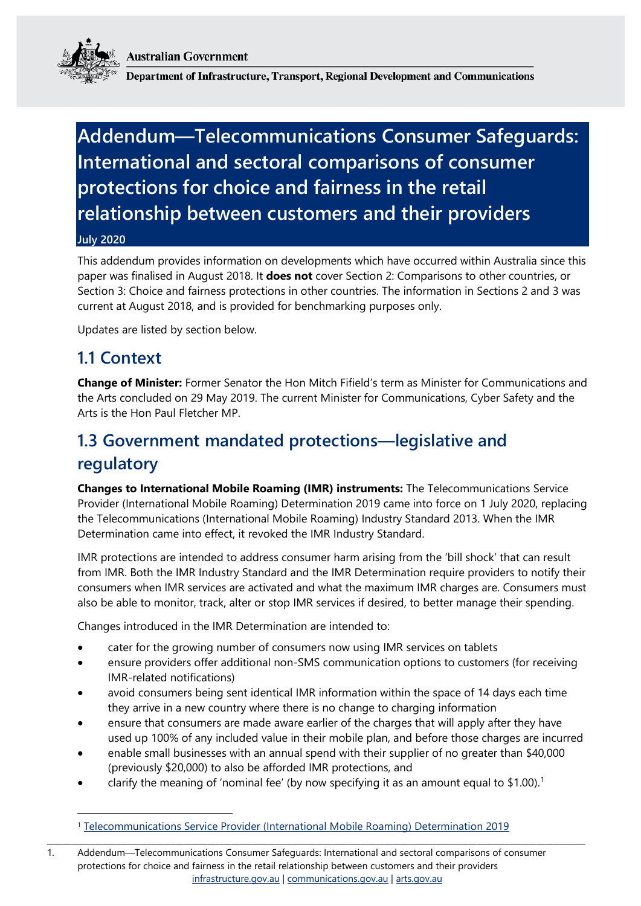**Australian Government** 



Department of Infrastructure, Transport, Regional Development and Communications

# **Addendum—Telecommunications Consumer Safeguards: International and sectoral comparisons of consumer protections for choice and fairness in the retail relationship between customers and their providers**

#### **July 2020**

This addendum provides information on developments which have occurred within Australia since this paper was finalised in August 2018. It **does not** cover Section 2: Comparisons to other countries, or Section 3: Choice and fairness protections in other countries. The information in Sections 2 and 3 was current at August 2018, and is provided for benchmarking purposes only.

Updates are listed by section below.

### **1.1 Context**

-

**Change of Minister:** Former Senator the Hon Mitch Fifield's term as Minister for Communications and the Arts concluded on 29 May 2019. The current Minister for Communications, Cyber Safety and the Arts is the Hon Paul Fletcher MP.

# **1.3 Government mandated protections—legislative and regulatory**

**Changes to International Mobile Roaming (IMR) instruments:** The Telecommunications Service Provider (International Mobile Roaming) Determination 2019 came into force on 1 July 2020, replacing the Telecommunications (International Mobile Roaming) Industry Standard 2013. When the IMR Determination came into effect, it revoked the IMR Industry Standard.

IMR protections are intended to address consumer harm arising from the 'bill shock' that can result from IMR. Both the IMR Industry Standard and the IMR Determination require providers to notify their consumers when IMR services are activated and what the maximum IMR charges are. Consumers must also be able to monitor, track, alter or stop IMR services if desired, to better manage their spending.

Changes introduced in the IMR Determination are intended to:

- cater for the growing number of consumers now using IMR services on tablets
- ensure providers offer additional non-SMS communication options to customers (for receiving IMR-related notifications)
- avoid consumers being sent identical IMR information within the space of 14 days each time they arrive in a new country where there is no change to charging information
- ensure that consumers are made aware earlier of the charges that will apply after they have used up 100% of any included value in their mobile plan, and before those charges are incurred
- enable small businesses with an annual spend with their supplier of no greater than \$40,000 (previously \$20,000) to also be afforded IMR protections, and
- clarify the meaning of 'nominal fee' (by now specifying it as an amount equal to  $$1.00$  $$1.00$  $$1.00$ ).<sup>1</sup>

<span id="page-0-0"></span>\_\_\_\_\_\_\_\_\_\_\_\_\_\_\_\_\_\_\_\_\_\_\_\_\_\_\_\_\_\_\_\_\_\_\_\_\_\_\_\_\_\_\_\_\_\_\_\_\_\_\_\_\_\_\_\_\_\_\_\_\_\_\_\_\_\_\_\_\_\_\_\_\_\_\_\_\_\_\_\_\_\_\_\_\_\_\_\_\_\_\_\_\_\_\_\_\_\_\_\_\_\_\_\_\_\_\_\_\_\_\_\_\_\_\_\_\_\_\_\_\_\_\_\_\_\_\_\_\_\_\_\_\_\_

1. Addendum—Telecommunications Consumer Safeguards: International and sectoral comparisons of consumer protections for choice and fairness in the retail relationship between customers and their providers [infrastructure.gov.au](http://www.infrastructure.gov.au/) | [communications.gov.au](http://www.communications.gov.au/) | [arts.gov.au](http://www.arts.gov.au/)

<sup>&</sup>lt;sup>1</sup> [Telecommunications Service Provider \(International Mobile Roaming\) Determination 2019](https://www.legislation.gov.au/Details/F2019L01655)